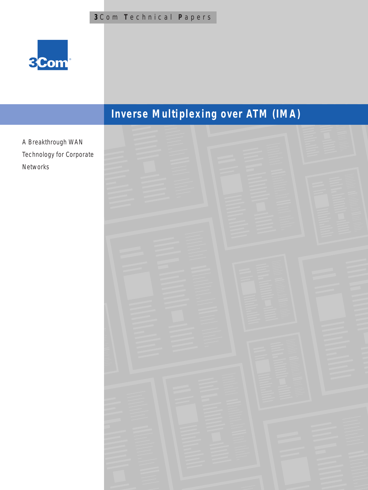

# **Inverse Multiplexing over ATM (IMA)**

A Breakthrough WAN Technology for Corporate Networks

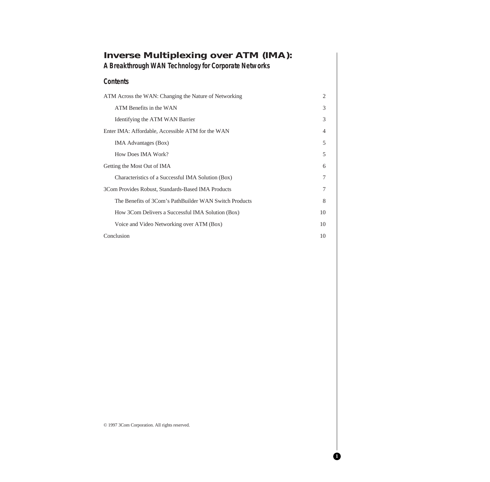| <b>Inverse Multiplexing over ATM (IMA):</b><br>A Breakthrough WAN Technology for Corporate Networks |                |
|-----------------------------------------------------------------------------------------------------|----------------|
| <b>Contents</b>                                                                                     |                |
| ATM Across the WAN: Changing the Nature of Networking                                               | $\overline{c}$ |
| ATM Benefits in the WAN                                                                             | 3              |
| Identifying the ATM WAN Barrier                                                                     | 3              |
| Enter IMA: Affordable, Accessible ATM for the WAN                                                   | $\overline{4}$ |
| <b>IMA Advantages (Box)</b>                                                                         | 5              |
| How Does IMA Work?                                                                                  | 5              |
| Getting the Most Out of IMA                                                                         | 6              |
| Characteristics of a Successful IMA Solution (Box)                                                  | 7              |
| 3Com Provides Robust, Standards-Based IMA Products                                                  | 7              |
| The Benefits of 3Com's PathBuilder WAN Switch Products                                              | 8              |
| How 3Com Delivers a Successful IMA Solution (Box)                                                   | 10             |
| Voice and Video Networking over ATM (Box)                                                           | 10             |
| Conclusion                                                                                          | 10             |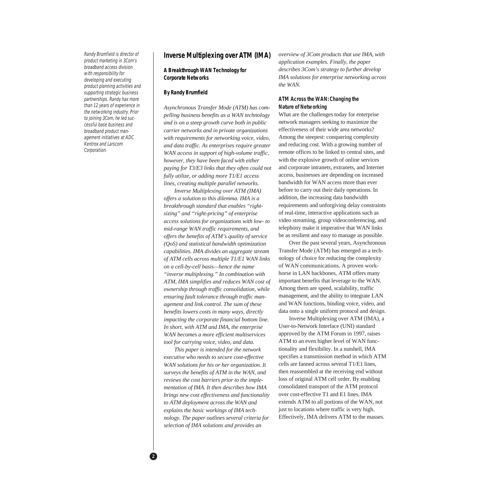Randy Brumfield is director of product marketing in 3Com's broadband access division with responsibility for developing and executing product planning activities and supporting strategic business partnerships. Randy has more than 12 years of experience in the networking industry. Prior to joining 3Com, he led successful base business and broadband product management initiatives at ADC Kentrox and Larscom Corporation.

# **Inverse Multiplexing over ATM (IMA)**

# **A Breakthrough WAN Technology for Corporate Networks**

#### **By Randy Brumfield**

*Asynchronous Transfer Mode (ATM) has compelling business benefits as a WAN technology and is on a steep growth curve both in public carrier networks and in private organizations with requirements for networking voice, video, and data traffic. As enterprises require greater WAN access in support of high-volume traffic, however, they have been faced with either paying for T3/E3 links that they often could not fully utilize, or adding more T1/E1 access lines, creating multiple parallel networks.*

*Inverse Multiplexing over ATM (IMA) offers a solution to this dilemma. IMA is a breakthrough standard that enables "rightsizing" and "right-pricing" of enterprise access solutions for organizations with low- to mid-range WAN traffic requirements, and offers the benefits of ATM's quality of service (QoS) and statistical bandwidth optimization capabilities. IMA divides an aggregate stream of ATM cells across multiple T1/E1 WAN links on a cell-by-cell basis—hence the name "inverse multiplexing." In combination with ATM, IMA simplifies and reduces WAN cost of ownership through traffic consolidation, while ensuring fault tolerance through traffic management and link control. The sum of these benefits lowers costs in many ways, directly impacting the corporate financial bottom line. In short, with ATM and IMA, the enterprise WAN becomes a more efficient multiservices tool for carrying voice, video, and data.*

*This paper is intended for the network executive who needs to secure cost-effective WAN solutions for his or her organization. It surveys the benefits of ATM in the WAN, and reviews the cost barriers prior to the implementation of IMA. It then describes how IMA brings new cost effectiveness and functionality to ATM deployment across the WAN and explains the basic workings of IMA technology. The paper outlines several criteria for selection of IMA solutions and provides an*

*overview of 3Com products that use IMA, with application examples. Finally, the paper describes 3Com's strategy to further develop IMA solutions for enterprise networking across the WAN.*

# **ATM Across the WAN: Changing the Nature of Networking**

What are the challenges today for enterprise network managers seeking to maximize the effectiveness of their wide area networks? Among the steepest: conquering complexity and reducing cost. With a growing number of remote offices to be linked to central sites, and with the explosive growth of online services and corporate intranets, extranets, and Internet access, businesses are depending on increased bandwidth for WAN access more than ever before to carry out their daily operations. In addition, the increasing data bandwidth requirements and unforgiving delay constraints of real-time, interactive applications such as video streaming, group videoconferencing, and telephony make it imperative that WAN links be as resilient and easy to manage as possible.

Over the past several years, Asynchronous Transfer Mode (ATM) has emerged as a technology of choice for reducing the complexity of WAN communications. A proven workhorse in LAN backbones, ATM offers many important benefits that leverage to the WAN. Among them are speed, scalability, traffic management, and the ability to integrate LAN and WAN functions, binding voice, video, and data onto a single uniform protocol and design.

Inverse Multiplexing over ATM (IMA), a User-to-Network Interface (UNI) standard approved by the ATM Forum in 1997, raises ATM to an even higher level of WAN functionality and flexibility. In a nutshell, IMA specifies a transmission method in which ATM cells are fanned across several T1/E1 lines, then reassembled at the receiving end without loss of original ATM cell order. By enabling consolidated transport of the ATM protocol over cost-effective T1 and E1 lines, IMA extends ATM to all portions of the WAN, not just to locations where traffic is very high. Effectively, IMA delivers ATM to the masses.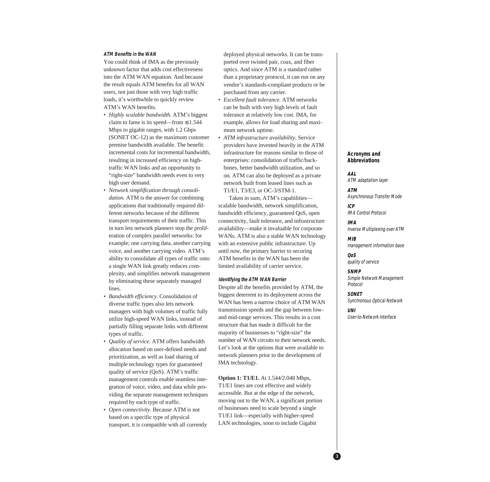#### **ATM Benefits in the WAN**

You could think of IMA as the previously unknown factor that adds cost effectiveness into the ATM WAN equation. And because the result equals ATM benefits for all WAN users, not just those with very high traffic loads, it's worthwhile to quickly review ATM's WAN benefits.

- *Highly scalable bandwidth.* ATM's biggest claim to fame is its speed—from  $\leq 1.544$ Mbps to gigabit ranges, with 1.2 Gbps (SONET OC-12) as the maximum customer premise bandwidth available. The benefit: incremental costs for incremental bandwidth, resulting in increased efficiency on hightraffic WAN links and an opportunity to "right-size" bandwidth needs even to very high user demand.
- *Network simplification through consolidation.* ATM is the answer for combining applications that traditionally required different networks because of the different transport requirements of their traffic. This in turn lets network planners stop the proliferation of complex parallel networks: for example; one carrying data, another carrying voice, and another carrying video. ATM's ability to consolidate all types of traffic onto a single WAN link greatly reduces complexity, and simplifies network management by eliminating these separately managed lines.
- *Bandwidth efficiency.* Consolidation of diverse traffic types also lets network managers with high volumes of traffic fully utilize high-speed WAN links, instead of partially filling separate links with different types of traffic.
- *Quality of service.* ATM offers bandwidth allocation based on user-defined needs and prioritization, as well as load sharing of multiple technology types for guaranteed quality of service (QoS). ATM's traffic management controls enable seamless integration of voice, video, and data while providing the separate management techniques required by each type of traffic.
- *Open connectivity.* Because ATM is not based on a specific type of physical transport, it is compatible with all currently

deployed physical networks. It can be transported over twisted pair, coax, and fiber optics. And since ATM is a standard rather than a proprietary protocol, it can run on any vendor's standards-compliant products or be purchased from any carrier.

- *Excellent fault tolerance.* ATM networks can be built with very high levels of fault tolerance at relatively low cost. IMA, for example, allows for load sharing and maximum network uptime.
- *ATM infrastructure availability.* Service providers have invested heavily in the ATM infrastructure for reasons similar to those of enterprises: consolidation of traffic/backbones, better bandwidth utilization, and so on. ATM can also be deployed as a private network built from leased lines such as T1/E1, T3/E3, or OC-3/STM-1.

Taken in sum, ATM's capabilities scalable bandwidth, network simplification, bandwidth efficiency, guaranteed QoS, open connectivity, fault tolerance, and infrastructure availability—make it invaluable for corporate WANs. ATM is also a stable WAN technology with an extensive public infrastructure. Up until now, the primary barrier to securing ATM benefits in the WAN has been the limited availability of carrier service.

#### **Identifying the ATM WAN Barrier**

Despite all the benefits provided by ATM, the biggest deterrent to its deployment across the WAN has been a narrow choice of ATM WAN transmission speeds and the gap between lowand mid-range services. This results in a cost structure that has made it difficult for the majority of businesses to "right-size" the number of WAN circuits to their network needs. Let's look at the options that were available to network planners prior to the development of IMA technology.

**Option 1: T1/E1.** At 1.544/2.048 Mbps, T1/E1 lines are cost effective and widely accessible. But at the edge of the network, moving out to the WAN, a significant portion of businesses need to scale beyond a single T1/E1 link—especially with higher-speed LAN technologies, soon to include Gigabit

## **Acronyms and Abbreviations**

**AAL** ATM adaptation layer

**ATM** Asynchronous Transfer Mode

**ICP** IMA Control Protocol

**IMA** Inverse Multiplexing over ATM

**MIB** management information base

**QoS** quality of service

**SNMP** Simple Network Management Protocol

**SONET** Synchronous Optical Network

**UNI** User-to-Network Interface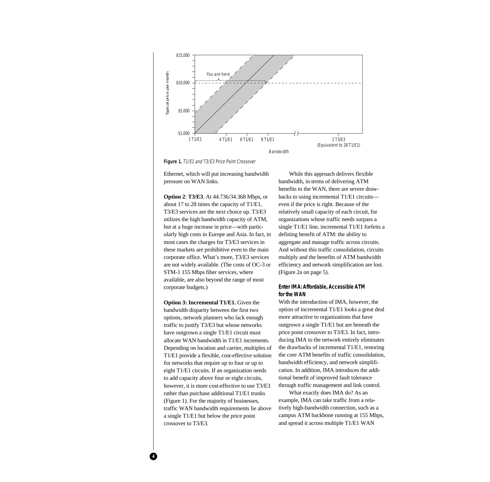

**Figure 1.** T1/E1 and T3/E3 Price Point Crossover

Ethernet, which will put increasing bandwidth pressure on WAN links.

**Option 2**: **T3/E3**. At 44.736/34.368 Mbps, or about 17 to 28 times the capacity of T1/E1, T3/E3 services are the next choice up. T3/E3 utilizes the high bandwidth capacity of ATM, but at a huge increase in price—with particularly high costs in Europe and Asia. In fact, in most cases the charges for T3/E3 services in these markets are prohibitive even to the main corporate office. What's more, T3/E3 services are not widely available. (The costs of OC-3 or STM-1 155 Mbps fiber services, where available, are also beyond the range of most corporate budgets.)

**Option 3: Incremental T1/E1.** Given the bandwidth disparity between the first two options, network planners who lack enough traffic to justify T3/E3 but whose networks have outgrown a single T1/E1 circuit must allocate WAN bandwidth in T1/E1 increments. Depending on location and carrier, multiples of T1/E1 provide a flexible, cost-effective solution for networks that require up to four or up to eight T1/E1 circuits. If an organization needs to add capacity above four or eight circuits, however, it is more cost-effective to use T3/E3 rather than purchase additional T1/E1 trunks (Figure 1). For the majority of businesses, traffic WAN bandwidth requirements lie above a single T1/E1 but below the price point crossover to T3/E3.

**4**

While this approach delivers flexible bandwidth, in terms of delivering ATM benefits to the WAN, there are severe drawbacks to using incremental T1/E1 circuits even if the price is right. Because of the relatively small capacity of each circuit, for organizations whose traffic needs surpass a single T1/E1 line, incremental T1/E1 forfeits a defining benefit of ATM: the ability to aggregate and manage traffic across circuits. And without this traffic consolidation, circuits multiply and the benefits of ATM bandwidth efficiency and network simplification are lost. (Figure 2a on page 5).

# **Enter IMA: Affordable, Accessible ATM for the WAN**

With the introduction of IMA, however, the option of incremental T1/E1 looks a great deal more attractive to organizations that have outgrown a single T1/E1 but are beneath the price point crossover to T3/E3. In fact, introducing IMA to the network entirely eliminates the drawbacks of incremental T1/E1, restoring the core ATM benefits of traffic consolidation, bandwidth efficiency, and network simplification. In addition, IMA introduces the additional benefit of improved fault tolerance through traffic management and link control.

What exactly does IMA do? As an example, IMA can take traffic from a relatively high-bandwidth connection, such as a campus ATM backbone running at 155 Mbps, and spread it across multiple T1/E1 WAN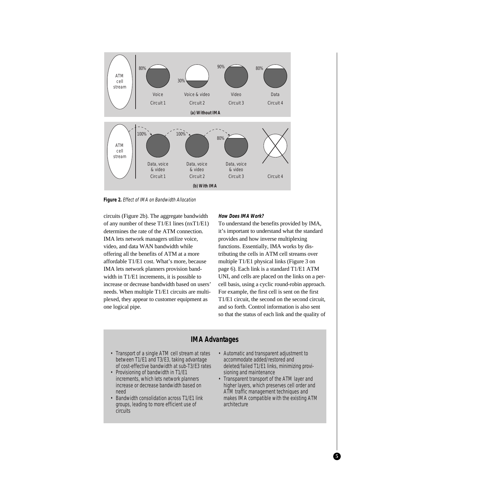

**Figure 2.** Effect of IMA on Bandwidth Allocation

circuits (Figure 2b). The aggregate bandwidth of any number of these T1/E1 lines (nxT1/E1) determines the rate of the ATM connection. IMA lets network managers utilize voice, video, and data WAN bandwidth while offering all the benefits of ATM at a more affordable T1/E1 cost. What's more, because IMA lets network planners provision bandwidth in T1/E1 increments, it is possible to increase or decrease bandwidth based on users' needs. When multiple T1/E1 circuits are multiplexed, they appear to customer equipment as one logical pipe.

#### **How Does IMA Work?**

To understand the benefits provided by IMA, it's important to understand what the standard provides and how inverse multiplexing functions. Essentially, IMA works by distributing the cells in ATM cell streams over multiple T1/E1 physical links (Figure 3 on page 6). Each link is a standard T1/E1 ATM UNI, and cells are placed on the links on a percell basis, using a cyclic round-robin approach. For example, the first cell is sent on the first T1/E1 circuit, the second on the second circuit, and so forth. Control information is also sent so that the status of each link and the quality of

# **IMA Advantages**

- Transport of a single ATM cell stream at rates between T1/E1 and T3/E3, taking advantage of cost-effective bandwidth at sub-T3/E3 rates
- Provisioning of bandwidth in T1/E1 increments, which lets network planners increase or decrease bandwidth based on need
- Bandwidth consolidation across T1/E1 link groups, leading to more efficient use of circuits
- Automatic and transparent adjustment to accommodate added/restored and deleted/failed T1/E1 links, minimizing provisioning and maintenance
- Transparent transport of the ATM layer and higher layers, which preserves cell order and ATM traffic management techniques and makes IMA compatible with the existing ATM architecture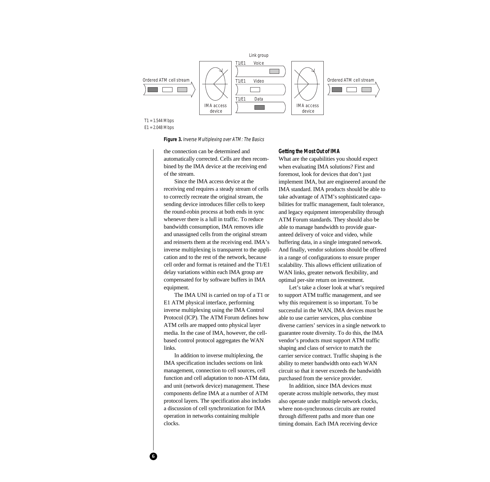

T1 = 1.544 Mbps

E1 = 2.048 Mbps

**6**

**Figure 3.** Inverse Multiplexing over ATM: The Basics

the connection can be determined and automatically corrected. Cells are then recombined by the IMA device at the receiving end of the stream.

Since the IMA access device at the receiving end requires a steady stream of cells to correctly recreate the original stream, the sending device introduces filler cells to keep the round-robin process at both ends in sync whenever there is a lull in traffic. To reduce bandwidth consumption, IMA removes idle and unassigned cells from the original stream and reinserts them at the receiving end. IMA's inverse multiplexing is transparent to the application and to the rest of the network, because cell order and format is retained and the T1/E1 delay variations within each IMA group are compensated for by software buffers in IMA equipment.

The IMA UNI is carried on top of a T1 or E1 ATM physical interface, performing inverse multiplexing using the IMA Control Protocol (ICP). The ATM Forum defines how ATM cells are mapped onto physical layer media. In the case of IMA, however, the cellbased control protocol aggregates the WAN links.

In addition to inverse multiplexing, the IMA specification includes sections on link management, connection to cell sources, cell function and cell adaptation to non-ATM data, and unit (network device) management. These components define IMA at a number of ATM protocol layers. The specification also includes a discussion of cell synchronization for IMA operation in networks containing multiple clocks.

#### **Getting the Most Out of IMA**

What are the capabilities you should expect when evaluating IMA solutions? First and foremost, look for devices that don't just implement IMA, but are engineered around the IMA standard. IMA products should be able to take advantage of ATM's sophisticated capabilities for traffic management, fault tolerance, and legacy equipment interoperability through ATM Forum standards. They should also be able to manage bandwidth to provide guaranteed delivery of voice and video, while buffering data, in a single integrated network. And finally, vendor solutions should be offered in a range of configurations to ensure proper scalability. This allows efficient utilization of WAN links, greater network flexibility, and optimal per-site return on investment.

Let's take a closer look at what's required to support ATM traffic management, and see why this requirement is so important. To be successful in the WAN, IMA devices must be able to use carrier services, plus combine diverse carriers' services in a single network to guarantee route diversity. To do this, the IMA vendor's products must support ATM traffic shaping and class of service to match the carrier service contract. Traffic shaping is the ability to meter bandwidth onto each WAN circuit so that it never exceeds the bandwidth purchased from the service provider.

In addition, since IMA devices must operate across multiple networks, they must also operate under multiple network clocks, where non-synchronous circuits are routed through different paths and more than one timing domain. Each IMA receiving device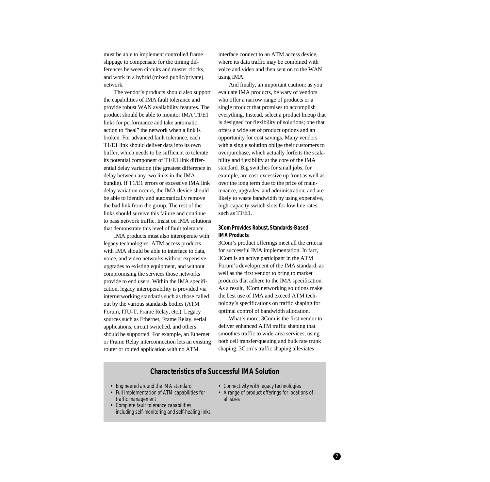must be able to implement controlled frame slippage to compensate for the timing differences between circuits and master clocks, and work in a hybrid (mixed public/private) network.

The vendor's products should also support the capabilities of IMA fault tolerance and provide robust WAN availability features. The product should be able to monitor IMA T1/E1 links for performance and take automatic action to "heal" the network when a link is broken. For advanced fault tolerance, each T1/E1 link should deliver data into its own buffer, which needs to be sufficient to tolerate its potential component of T1/E1 link differential delay variation (the greatest difference in delay between any two links in the IMA bundle). If T1/E1 errors or excessive IMA link delay variation occurs, the IMA device should be able to identify and automatically remove the bad link from the group. The rest of the links should survive this failure and continue to pass network traffic. Insist on IMA solutions that demonstrate this level of fault tolerance.

IMA products must also interoperate with legacy technologies. ATM access products with IMA should be able to interface to data, voice, and video networks without expensive upgrades to existing equipment, and without compromising the services those networks provide to end users. Within the IMA specification, legacy interoperability is provided via internetworking standards such as those called out by the various standards bodies (ATM Forum, ITU-T, Frame Relay, etc.). Legacy sources such as Ethernet, Frame Relay, serial applications, circuit switched, and others should be supported. For example, an Ethernet or Frame Relay interconnection lets an existing router or routed application with no ATM

interface connect to an ATM access device, where its data traffic may be combined with voice and video and then sent on to the WAN using IMA.

And finally, an important caution: as you evaluate IMA products, be wary of vendors who offer a narrow range of products or a single product that promises to accomplish everything. Instead, select a product lineup that is designed for flexibility of solutions; one that offers a wide set of product options and an opportunity for cost savings. Many vendors with a single solution oblige their customers to overpurchase, which actually forfeits the scalability and flexibility at the core of the IMA standard. Big switches for small jobs, for example, are cost-excessive up front as well as over the long term due to the price of maintenance, upgrades, and administration, and are likely to waste bandwidth by using expensive, high-capacity switch slots for low line rates such as T1/E1.

# **3Com Provides Robust, Standards-Based IMA Products**

3Com's product offerings meet all the criteria for successful IMA implementation. In fact, 3Com is an active participant in the ATM Forum's development of the IMA standard, as well as the first vendor to bring to market products that adhere to the IMA specification. As a result, 3Com networking solutions make the best use of IMA and exceed ATM technology's specifications on traffic shaping for optimal control of bandwidth allocation.

What's more, 3Com is the first vendor to deliver enhanced ATM traffic shaping that smoothes traffic to wide-area services, using both cell transfer/queuing and bulk rate trunk shaping. 3Com's traffic shaping alleviates

# **Characteristics of a Successful IMA Solution**

- Engineered around the IMA standard
- Full implementation of ATM capabilities for traffic management
- Complete fault tolerance capabilities, including self-monitoring and self-healing links
- Connectivity with legacy technologies
- A range of product offerings for locations of all sizes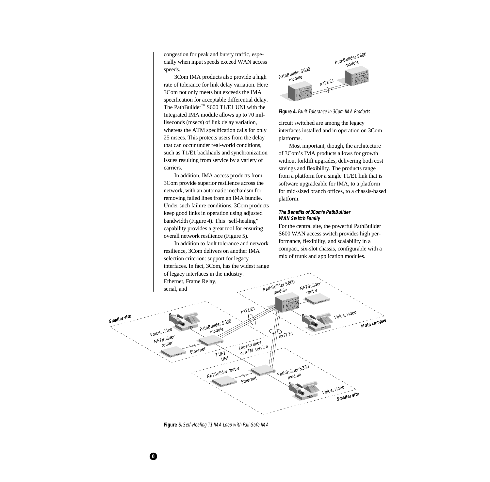congestion for peak and bursty traffic, especially when input speeds exceed WAN access speeds.

3Com IMA products also provide a high rate of tolerance for link delay variation. Here 3Com not only meets but exceeds the IMA specification for acceptable differential delay. The PathBuilder™ S600 T1/E1 UNI with the Integrated IMA module allows up to 70 milliseconds (msecs) of link delay variation, whereas the ATM specification calls for only 25 msecs. This protects users from the delay that can occur under real-world conditions, such as T1/E1 backhauls and synchronization issues resulting from service by a variety of carriers.

In addition, IMA access products from 3Com provide superior resilience across the network, with an automatic mechanism for removing failed lines from an IMA bundle. Under such failure conditions, 3Com products keep good links in operation using adjusted bandwidth (Figure 4). This "self-healing" capability provides a great tool for ensuring overall network resilience (Figure 5).

In addition to fault tolerance and network resilience, 3Com delivers on another IMA selection criterion: support for legacy interfaces. In fact, 3Com, has the widest range



**Figure 4.** Fault Tolerance in 3Com IMA Products

circuit switched are among the legacy interfaces installed and in operation on 3Com platforms.

Most important, though, the architecture of 3Com's IMA products allows for growth without forklift upgrades, delivering both cost savings and flexibility. The products range from a platform for a single T1/E1 link that is software upgradeable for IMA, to a platform for mid-sized branch offices, to a chassis-based platform.

# **The Benefits of 3Com's PathBuilder WAN Switch Family**

For the central site, the powerful PathBuilder S600 WAN access switch provides high performance, flexibility, and scalability in a compact, six-slot chassis, configurable with a mix of trunk and application modules.



**Figure 5.** Self-Healing T1 IMA Loop with Fail-Safe IMA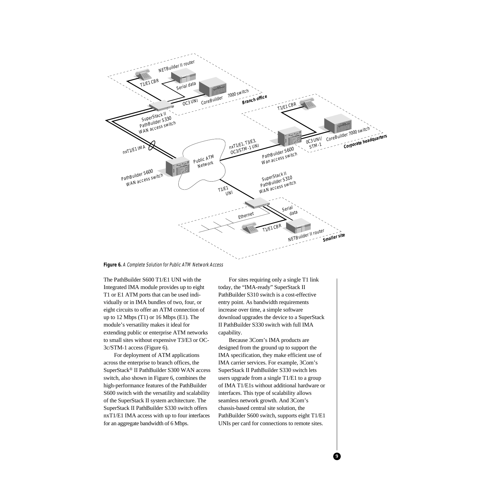

**Figure 6.** A Complete Solution for Public ATM Network Access

The PathBuilder S600 T1/E1 UNI with the Integrated IMA module provides up to eight T1 or E1 ATM ports that can be used individually or in IMA bundles of two, four, or eight circuits to offer an ATM connection of up to 12 Mbps (T1) or 16 Mbps (E1). The module's versatility makes it ideal for extending public or enterprise ATM networks to small sites without expensive T3/E3 or OC-3c/STM-1 access (Figure 6).

For deployment of ATM applications across the enterprise to branch offices, the SuperStack® II PathBuilder S300 WAN access switch, also shown in Figure 6, combines the high-performance features of the PathBuilder S600 switch with the versatility and scalability of the SuperStack II system architecture. The SuperStack II PathBuilder S330 switch offers nxT1/E1 IMA access with up to four interfaces for an aggregate bandwidth of 6 Mbps.

For sites requiring only a single T1 link today, the "IMA-ready" SuperStack II PathBuilder S310 switch is a cost-effective entry point. As bandwidth requirements increase over time, a simple software download upgrades the device to a SuperStack II PathBuilder S330 switch with full IMA capability.

Because 3Com's IMA products are designed from the ground up to support the IMA specification, they make efficient use of IMA carrier services. For example, 3Com's SuperStack II PathBuilder S330 switch lets users upgrade from a single T1/E1 to a group of IMA T1/E1s without additional hardware or interfaces. This type of scalability allows seamless network growth. And 3Com's chassis-based central site solution, the PathBuilder S600 switch, supports eight T1/E1 UNIs per card for connections to remote sites.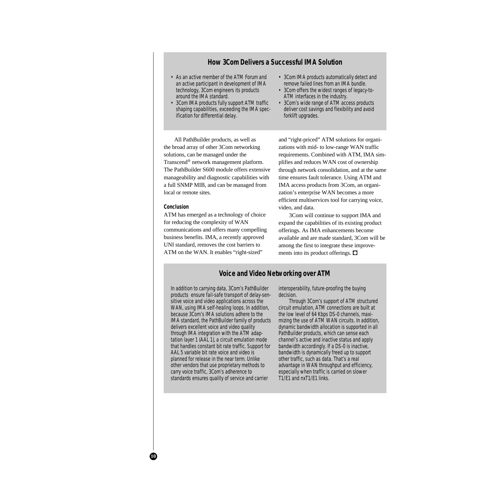# **How 3Com Delivers a Successful IMA Solution**

- As an active member of the ATM Forum and an active participant in development of IMA technology, 3Com engineers its products around the IMA standard.
- 3Com IMA products fully support ATM traffic shaping capabilities, exceeding the IMA specification for differential delay.
- 3Com IMA products automatically detect and remove failed lines from an IMA bundle.
- 3Com offers the widest ranges of legacy-to-ATM interfaces in the industry.
- 3Com's wide range of ATM access products deliver cost savings and flexibility and avoid forklift upgrades.

All PathBuilder products, as well as the broad array of other 3Com networking solutions, can be managed under the Transcend® network management platform. The PathBuilder S600 module offers extensive manageability and diagnostic capabilities with a full SNMP MIB, and can be managed from local or remote sites.

## **Conclusion**

ATM has emerged as a technology of choice for reducing the complexity of WAN communications and offers many compelling business benefits. IMA, a recently approved UNI standard, removes the cost barriers to ATM on the WAN. It enables "right-sized"

and "right-priced" ATM solutions for organizations with mid- to low-range WAN traffic requirements. Combined with ATM, IMA simplifies and reduces WAN cost of ownership through network consolidation, and at the same time ensures fault tolerance. Using ATM and IMA access products from 3Com, an organization's enterprise WAN becomes a more efficient multiservices tool for carrying voice, video, and data.

3Com will continue to support IMA and expand the capabilities of its existing product offerings. As IMA enhancements become available and are made standard, 3Com will be among the first to integrate these improvements into its product offerings.  $\Box$ 

# **Voice and Video Networking over ATM**

In addition to carrying data, 3Com's PathBuilder products ensure fail-safe transport of delay-sensitive voice and video applications across the WAN, using IMA self-healing loops. In addition, because 3Com's IMA solutions adhere to the IMA standard, the PathBuilder family of products delivers excellent voice and video quality through IMA integration with the ATM adaptation layer 1 (AAL 1), a circuit emulation mode that handles constant bit rate traffic. Support for AAL 5 variable bit rate voice and video is planned for release in the near term. Unlike other vendors that use proprietary methods to carry voice traffic, 3Com's adherence to standards ensures quality of service and carrier

interoperability, future-proofing the buying decision.

Through 3Com's support of ATM structured circuit emulation, ATM connections are built at the low level of 64 Kbps DS-0 channels, maximizing the use of ATM WAN circuits. In addition, dynamic bandwidth allocation is supported in all PathBuilder products, which can sense each channel's active and inactive status and apply bandwidth accordingly. If a DS-0 is inactive, bandwidth is dynamically freed up to support other traffic, such as data. That's a real advantage in WAN throughput and efficiency, especially when traffic is carried on slower T1/E1 and nxT1/E1 links.